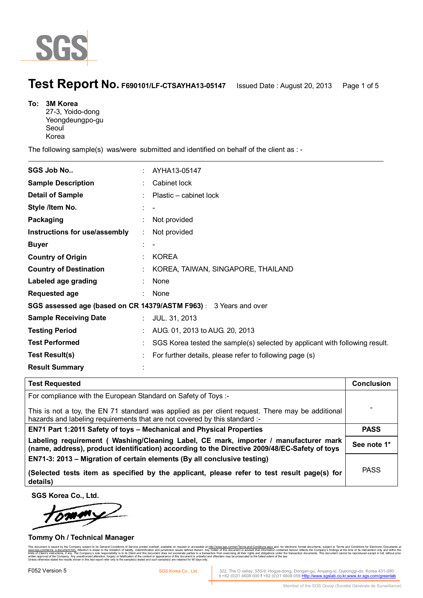

## **Test Report No. F690101/LF-CTSAYHA13-05147** Issued Date : August 20, 2013 Page 1 of 5

| To: | <b>3M Korea</b>  |
|-----|------------------|
|     | 27-3, Yoido-dong |
|     | Yeongdeungpo-gu  |
|     | Seoul            |
|     | Korea            |

 $\ddot{\phantom{a}}$ 

The following sample(s) was/were submitted and identified on behalf of the client as : -

| <b>SGS Job No</b>                                                 |  | AYHA13-05147                                                                |  |  |
|-------------------------------------------------------------------|--|-----------------------------------------------------------------------------|--|--|
| <b>Sample Description</b>                                         |  | Cabinet lock                                                                |  |  |
| <b>Detail of Sample</b>                                           |  | Plastic - cabinet lock                                                      |  |  |
| Style /Item No.                                                   |  |                                                                             |  |  |
| Packaging                                                         |  | Not provided                                                                |  |  |
| Instructions for use/assembly                                     |  | Not provided                                                                |  |  |
| <b>Buyer</b>                                                      |  |                                                                             |  |  |
| <b>Country of Origin</b>                                          |  | <b>KOREA</b>                                                                |  |  |
| <b>Country of Destination</b>                                     |  | KOREA, TAIWAN, SINGAPORE, THAILAND                                          |  |  |
| Labeled age grading                                               |  | None                                                                        |  |  |
| <b>Requested age</b>                                              |  | None                                                                        |  |  |
| SGS assessed age (based on CR 14379/ASTM F963) : 3 Years and over |  |                                                                             |  |  |
| <b>Sample Receiving Date</b>                                      |  | JUL. 31, 2013                                                               |  |  |
| <b>Testing Period</b>                                             |  | AUG. 01, 2013 to AUG. 20, 2013                                              |  |  |
| <b>Test Performed</b>                                             |  | SGS Korea tested the sample(s) selected by applicant with following result. |  |  |
| <b>Test Result(s)</b>                                             |  | For further details, please refer to following page (s)                     |  |  |
| <b>Result Summary</b>                                             |  |                                                                             |  |  |

#### **Test Requested Conclusion 2.0 Conclusion** For compliance with the European Standard on Safety of Toys :- This is not a toy, the EN 71 standard was applied as per client request. There may be additional hazards and labeling requirements that are not covered by this standard :-- **EN71 Part 1:2011 Safety of toys – Mechanical and Physical Properties | PASS Labeling requirement ( Washing/Cleaning Label, CE mark, importer / manufacturer mark (name, address), product identification) according to the Directive 2009/48/EC-Safety of toys See note 1\* EN71-3: 2013 – Migration of certain elements (By all conclusive testing) (Selected tests item as specified by the applicant, please refer to test result page(s) for details)**  PASS

**SGS Korea Co., Ltd.** 

Í.

#### **Tommy Oh / Technical Manager**

ed by the Company subject to its Ge<br>adocument html Attention is drawn to www.sgs.com/terms e-document.htm. Attention is drawn to the limitation of liability, indemnification and jurisdiction issues defined therein. Any holder of this document is advised that information contained hereon reflect limits of Client's instructions, if any. The Company's sole responsibility is to its Client and this document does not exonerate parties to a transaction from exercising all their rights and obligations under the transacti written approval of the Company. Any unauthorized alteration, forgery or falsification of the content or appearance of this document is unlawful and offenders may be prosecuted to the fullest extent of the law. Unless otherwise stated the results shown in this test report refer only to the sample(s) tested and such sample(s) are retained for 90 days only.

EOS2 Version 5<br>SGS Korea Co., Ltd. 1922, The O valley, 555-9, Hogye-dong, Dongan-gu, Anyang-si, Gyeonggi-do, Korea 431-080<br>t +82 (0)31 4608 000 f +82 (0)31 4608 059 Http://www.sgslab.co.kr,www.kr.sgs.com/greenlab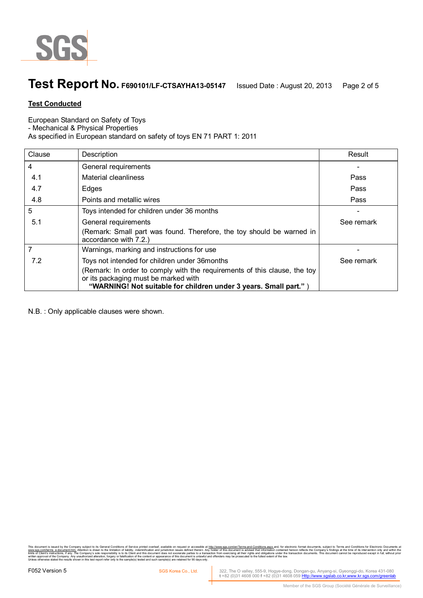

# **Test Report No. F690101/LF-CTSAYHA13-05147** Issued Date : August 20, 2013 Page 2 of 5

### **Test Conducted**

European Standard on Safety of Toys

- Mechanical & Physical Properties

As specified in European standard on safety of toys EN 71 PART 1: 2011

| Clause | Description                                                                                                                                                                          | Result     |
|--------|--------------------------------------------------------------------------------------------------------------------------------------------------------------------------------------|------------|
| 4      | General requirements                                                                                                                                                                 |            |
| 4.1    | Material cleanliness                                                                                                                                                                 | Pass       |
| 4.7    | Edges                                                                                                                                                                                | Pass       |
| 4.8    | Points and metallic wires                                                                                                                                                            | Pass       |
| 5      | Toys intended for children under 36 months                                                                                                                                           |            |
| 5.1    | General requirements                                                                                                                                                                 | See remark |
|        | (Remark: Small part was found. Therefore, the toy should be warned in<br>accordance with 7.2.)                                                                                       |            |
|        | Warnings, marking and instructions for use                                                                                                                                           |            |
| 7.2    | Toys not intended for children under 36 months                                                                                                                                       | See remark |
|        | (Remark: In order to comply with the requirements of this clause, the toy<br>or its packaging must be marked with<br>"WARNING! Not suitable for children under 3 years. Small part." |            |

N.B. : Only applicable clauses were shown.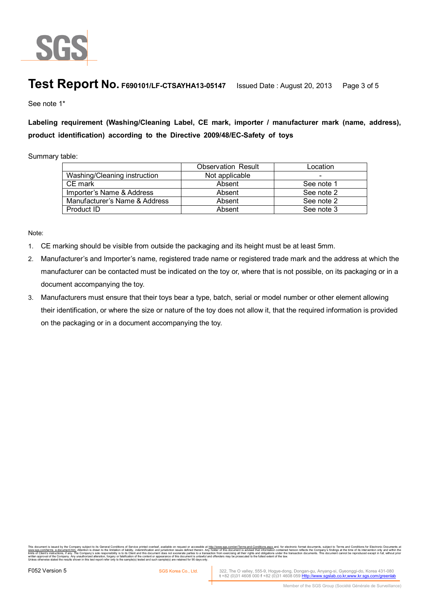

# **Test Report No. F690101/LF-CTSAYHA13-05147** Issued Date : August 20, 2013 Page 3 of 5

See note 1\*

**Labeling requirement (Washing/Cleaning Label, CE mark, importer / manufacturer mark (name, address), product identification) according to the Directive 2009/48/EC-Safety of toys** 

Summary table:

|                               | <b>Observation Result</b> | Location   |
|-------------------------------|---------------------------|------------|
| Washing/Cleaning instruction  | Not applicable            |            |
| CE mark                       | Absent                    | See note 1 |
| Importer's Name & Address     | Absent                    | See note 2 |
| Manufacturer's Name & Address | Absent                    | See note 2 |
| Product ID                    | Absent                    | See note 3 |

Note:

- 1. CE marking should be visible from outside the packaging and its height must be at least 5mm.
- 2. Manufacturer's and Importer's name, registered trade name or registered trade mark and the address at which the manufacturer can be contacted must be indicated on the toy or, where that is not possible, on its packaging or in a document accompanying the toy.
- 3. Manufacturers must ensure that their toys bear a type, batch, serial or model number or other element allowing their identification, or where the size or nature of the toy does not allow it, that the required information is provided on the packaging or in a document accompanying the toy.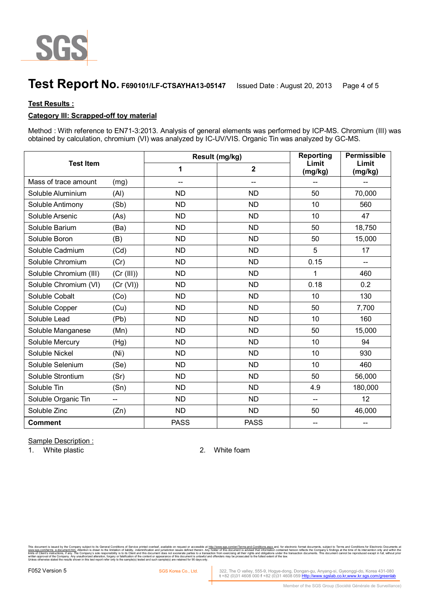

# **Test Report No. F690101/LF-CTSAYHA13-05147** Issued Date : August 20, 2013 Page 4 of 5

#### **Test Results :**

### **Category III: Scrapped-off toy material**

Method : With reference to EN71-3:2013. Analysis of general elements was performed by ICP-MS. Chromium (III) was obtained by calculation, chromium (VI) was analyzed by IC-UV/VIS. Organic Tin was analyzed by GC-MS.

| <b>Test Item</b>       |            |                | Result (mg/kg) | Reporting                | Permissible<br>Limit<br>(mg/kg) |
|------------------------|------------|----------------|----------------|--------------------------|---------------------------------|
|                        |            | 1              | $\overline{2}$ | Limit<br>(mg/kg)         |                                 |
| Mass of trace amount   | (mg)       | $\overline{a}$ | $\overline{a}$ |                          |                                 |
| Soluble Aluminium      | (AI)       | <b>ND</b>      | <b>ND</b>      | 50                       | 70,000                          |
| Soluble Antimony       | (Sb)       | <b>ND</b>      | <b>ND</b>      | 10                       | 560                             |
| Soluble Arsenic        | (As)       | <b>ND</b>      | <b>ND</b>      | 10                       | 47                              |
| Soluble Barium         | (Ba)       | <b>ND</b>      | <b>ND</b>      | 50                       | 18,750                          |
| Soluble Boron          | (B)        | <b>ND</b>      | <b>ND</b>      | 50                       | 15,000                          |
| Soluble Cadmium        | (Cd)       | <b>ND</b>      | <b>ND</b>      | 5                        | 17                              |
| Soluble Chromium       | (Cr)       | <b>ND</b>      | <b>ND</b>      | 0.15                     | $\overline{\phantom{a}}$        |
| Soluble Chromium (III) | (Cr (III)) | <b>ND</b>      | <b>ND</b>      | 1                        | 460                             |
| Soluble Chromium (VI)  | (Cr (VI))  | <b>ND</b>      | <b>ND</b>      | 0.18                     | 0.2                             |
| Soluble Cobalt         | (Co)       | <b>ND</b>      | <b>ND</b>      | 10                       | 130                             |
| Soluble Copper         | (Cu)       | <b>ND</b>      | <b>ND</b>      | 50                       | 7,700                           |
| Soluble Lead           | (Pb)       | <b>ND</b>      | <b>ND</b>      | 10                       | 160                             |
| Soluble Manganese      | (Mn)       | <b>ND</b>      | <b>ND</b>      | 50                       | 15,000                          |
| Soluble Mercury        | (Hg)       | <b>ND</b>      | <b>ND</b>      | 10                       | 94                              |
| Soluble Nickel         | (Ni)       | <b>ND</b>      | <b>ND</b>      | 10                       | 930                             |
| Soluble Selenium       | (Se)       | <b>ND</b>      | <b>ND</b>      | 10                       | 460                             |
| Soluble Strontium      | (Sr)       | <b>ND</b>      | <b>ND</b>      | 50                       | 56,000                          |
| Soluble Tin            | (Sn)       | <b>ND</b>      | <b>ND</b>      | 4.9                      | 180,000                         |
| Soluble Organic Tin    | --         | <b>ND</b>      | <b>ND</b>      | $\overline{\phantom{a}}$ | 12                              |
| Soluble Zinc           | (Zn)       | <b>ND</b>      | <b>ND</b>      | 50                       | 46,000                          |
| <b>Comment</b>         |            | <b>PASS</b>    | <b>PASS</b>    |                          |                                 |

Sample Description :

1. White plastic 2. White foam